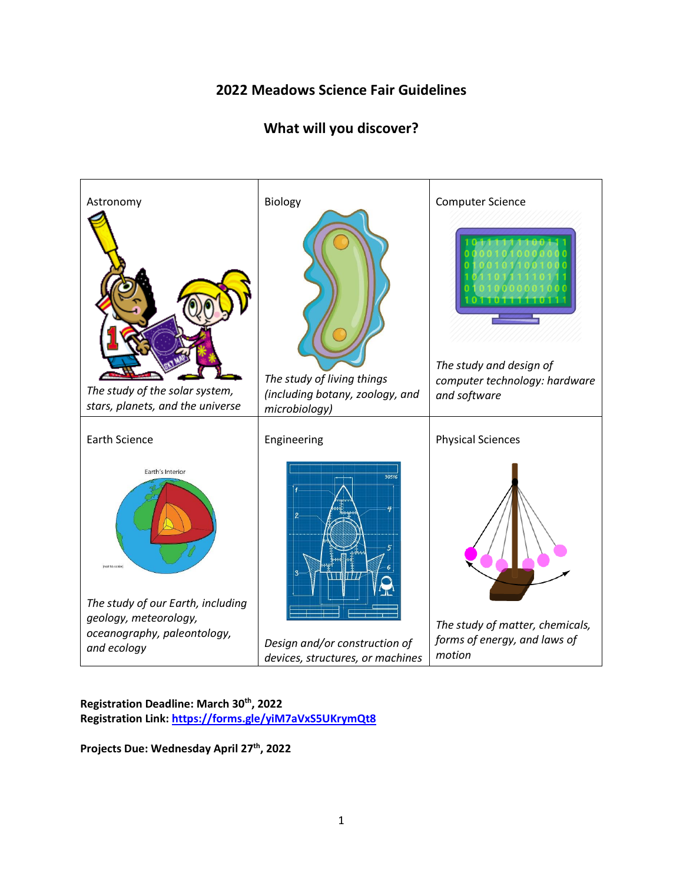## **2022 Meadows Science Fair Guidelines**

# **What will you discover?**



**Registration Deadline: March 30th, 2022 Registration Link:<https://forms.gle/yiM7aVxS5UKrymQt8>**

**Projects Due: Wednesday April 27 th, 2022**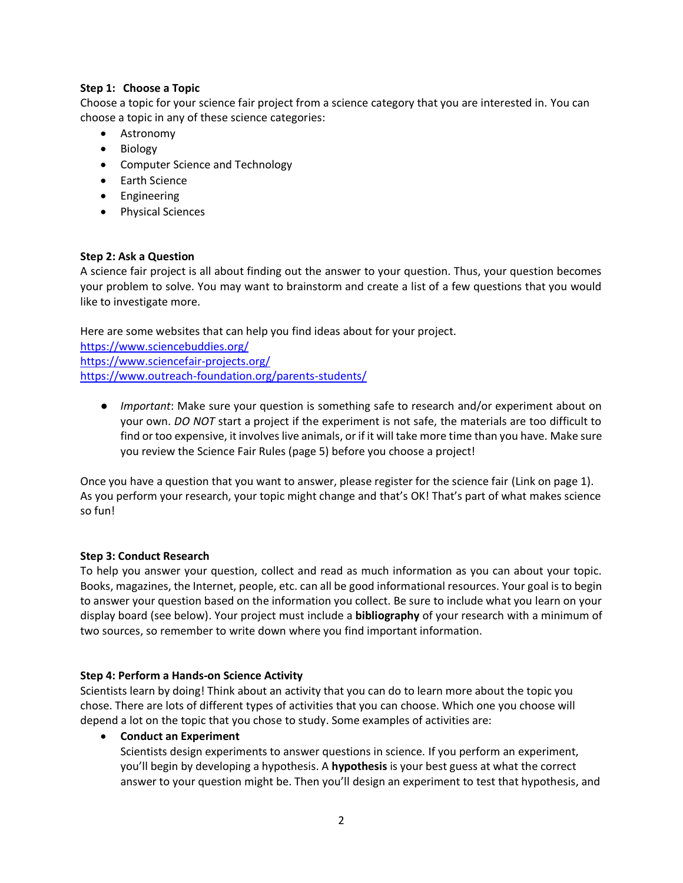## **Step 1: Choose a Topic**

Choose a topic for your science fair project from a science category that you are interested in. You can choose a topic in any of these science categories:

- Astronomy
- Biology
- Computer Science and Technology
- Earth Science
- Engineering
- Physical Sciences

## **Step 2: Ask a Question**

A science fair project is all about finding out the answer to your question. Thus, your question becomes your problem to solve. You may want to brainstorm and create a list of a few questions that you would like to investigate more.

Here are some websites that can help you find ideas about for your project. <https://www.sciencebuddies.org/> <https://www.sciencefair-projects.org/> <https://www.outreach-foundation.org/parents-students/>

*● Important*: Make sure your question is something safe to research and/or experiment about on your own. *DO NOT* start a project if the experiment is not safe, the materials are too difficult to find or too expensive, it involves live animals, or if it will take more time than you have. Make sure you review the Science Fair Rules (page 5) before you choose a project!

Once you have a question that you want to answer, please register for the science fair (Link on page 1). As you perform your research, your topic might change and that's OK! That's part of what makes science so fun!

## **Step 3: Conduct Research**

To help you answer your question, collect and read as much information as you can about your topic. Books, magazines, the Internet, people, etc. can all be good informational resources. Your goal is to begin to answer your question based on the information you collect. Be sure to include what you learn on your display board (see below). Your project must include a **bibliography** of your research with a minimum of two sources, so remember to write down where you find important information.

## **Step 4: Perform a Hands-on Science Activity**

Scientists learn by doing! Think about an activity that you can do to learn more about the topic you chose. There are lots of different types of activities that you can choose. Which one you choose will depend a lot on the topic that you chose to study. Some examples of activities are:

## • **Conduct an Experiment**

Scientists design experiments to answer questions in science. If you perform an experiment, you'll begin by developing a hypothesis. A **hypothesis** is your best guess at what the correct answer to your question might be. Then you'll design an experiment to test that hypothesis, and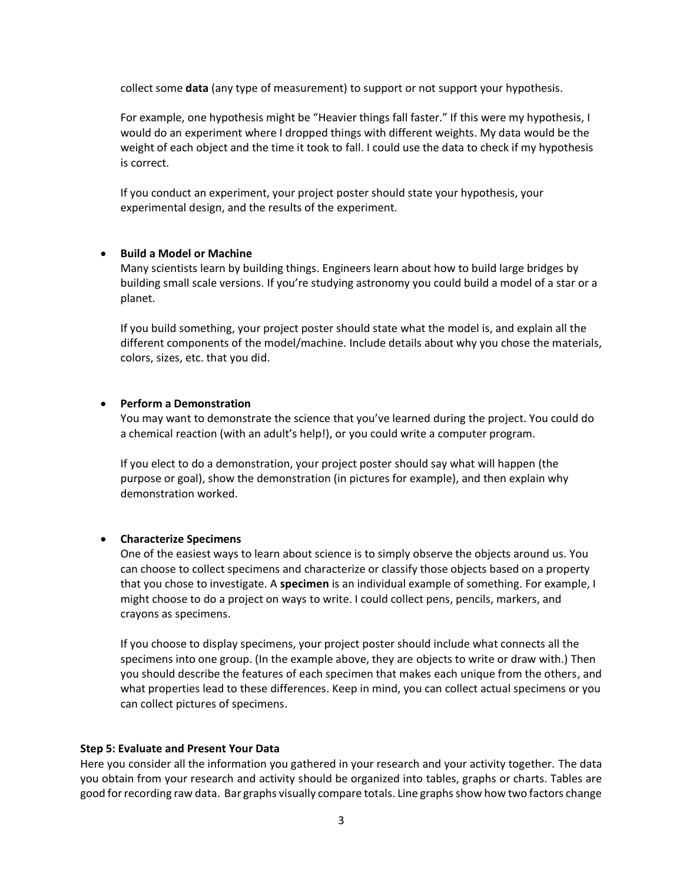collect some **data** (any type of measurement) to support or not support your hypothesis.

For example, one hypothesis might be "Heavier things fall faster." If this were my hypothesis, I would do an experiment where I dropped things with different weights. My data would be the weight of each object and the time it took to fall. I could use the data to check if my hypothesis is correct.

If you conduct an experiment, your project poster should state your hypothesis, your experimental design, and the results of the experiment.

#### • **Build a Model or Machine**

Many scientists learn by building things. Engineers learn about how to build large bridges by building small scale versions. If you're studying astronomy you could build a model of a star or a planet.

If you build something, your project poster should state what the model is, and explain all the different components of the model/machine. Include details about why you chose the materials, colors, sizes, etc. that you did.

#### • **Perform a Demonstration**

You may want to demonstrate the science that you've learned during the project. You could do a chemical reaction (with an adult's help!), or you could write a computer program.

If you elect to do a demonstration, your project poster should say what will happen (the purpose or goal), show the demonstration (in pictures for example), and then explain why demonstration worked.

#### • **Characterize Specimens**

One of the easiest ways to learn about science is to simply observe the objects around us. You can choose to collect specimens and characterize or classify those objects based on a property that you chose to investigate. A **specimen** is an individual example of something. For example, I might choose to do a project on ways to write. I could collect pens, pencils, markers, and crayons as specimens.

If you choose to display specimens, your project poster should include what connects all the specimens into one group. (In the example above, they are objects to write or draw with.) Then you should describe the features of each specimen that makes each unique from the others, and what properties lead to these differences. Keep in mind, you can collect actual specimens or you can collect pictures of specimens.

#### **Step 5: Evaluate and Present Your Data**

Here you consider all the information you gathered in your research and your activity together. The data you obtain from your research and activity should be organized into tables, graphs or charts. Tables are good for recording raw data. Bar graphs visually compare totals. Line graphs show how two factors change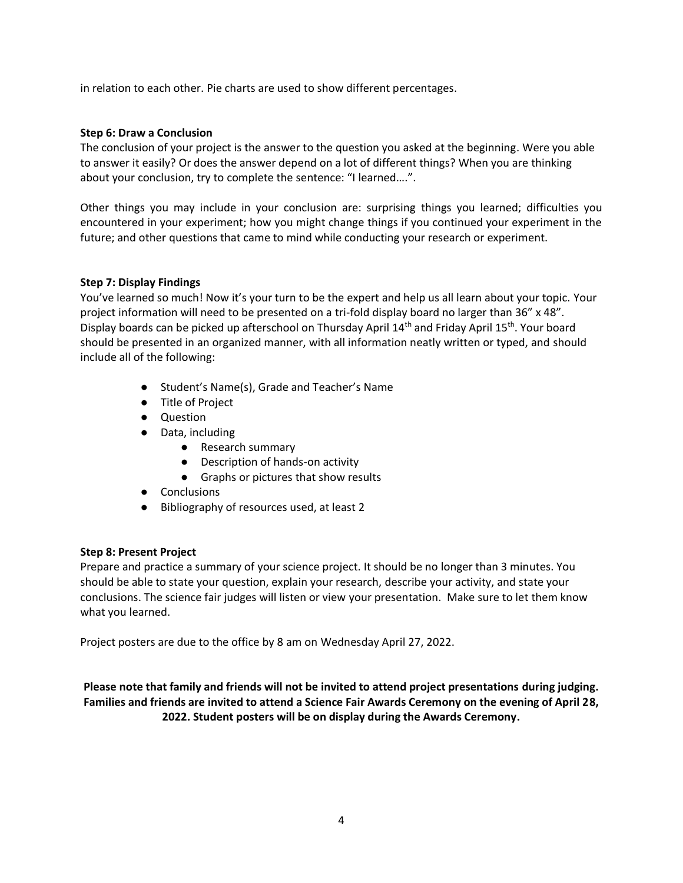in relation to each other. Pie charts are used to show different percentages.

## **Step 6: Draw a Conclusion**

The conclusion of your project is the answer to the question you asked at the beginning. Were you able to answer it easily? Or does the answer depend on a lot of different things? When you are thinking about your conclusion, try to complete the sentence: "I learned….".

Other things you may include in your conclusion are: surprising things you learned; difficulties you encountered in your experiment; how you might change things if you continued your experiment in the future; and other questions that came to mind while conducting your research or experiment.

## **Step 7: Display Findings**

You've learned so much! Now it's your turn to be the expert and help us all learn about your topic. Your project information will need to be presented on a tri-fold display board no larger than 36" x 48". Display boards can be picked up afterschool on Thursday April 14<sup>th</sup> and Friday April 15<sup>th</sup>. Your board should be presented in an organized manner, with all information neatly written or typed, and should include all of the following:

- Student's Name(s), Grade and Teacher's Name
- Title of Project
- Question
- Data, including
	- Research summary
	- Description of hands-on activity
	- Graphs or pictures that show results
- Conclusions
- Bibliography of resources used, at least 2

## **Step 8: Present Project**

Prepare and practice a summary of your science project. It should be no longer than 3 minutes. You should be able to state your question, explain your research, describe your activity, and state your conclusions. The science fair judges will listen or view your presentation. Make sure to let them know what you learned.

Project posters are due to the office by 8 am on Wednesday April 27, 2022.

**Please note that family and friends will not be invited to attend project presentations during judging. Families and friends are invited to attend a Science Fair Awards Ceremony on the evening of April 28, 2022. Student posters will be on display during the Awards Ceremony.**